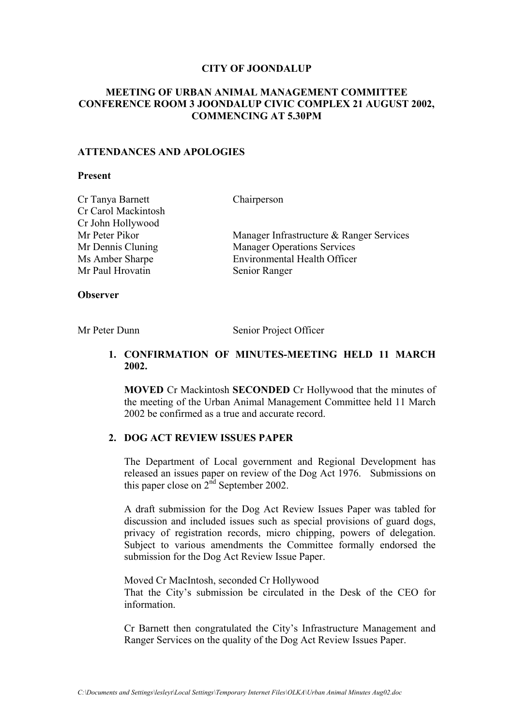#### **CITY OF JOONDALUP**

# **MEETING OF URBAN ANIMAL MANAGEMENT COMMITTEE CONFERENCE ROOM 3 JOONDALUP CIVIC COMPLEX 21 AUGUST 2002, COMMENCING AT 5.30PM**

#### **ATTENDANCES AND APOLOGIES**

#### **Present**

| Cr Tanya Barnett    | Chairperson                              |
|---------------------|------------------------------------------|
| Cr Carol Mackintosh |                                          |
| Cr John Hollywood   |                                          |
| Mr Peter Pikor      | Manager Infrastructure & Ranger Services |
| Mr Dennis Cluning   | <b>Manager Operations Services</b>       |
| Ms Amber Sharpe     | <b>Environmental Health Officer</b>      |
| Mr Paul Hrovatin    | Senior Ranger                            |
|                     |                                          |

### **Observer**

Mr Peter Dunn Senior Project Officer

# **1. CONFIRMATION OF MINUTES-MEETING HELD 11 MARCH 2002.**

**MOVED** Cr Mackintosh **SECONDED** Cr Hollywood that the minutes of the meeting of the Urban Animal Management Committee held 11 March 2002 be confirmed as a true and accurate record.

## **2. DOG ACT REVIEW ISSUES PAPER**

The Department of Local government and Regional Development has released an issues paper on review of the Dog Act 1976. Submissions on this paper close on  $2^{nd}$  September 2002.

A draft submission for the Dog Act Review Issues Paper was tabled for discussion and included issues such as special provisions of guard dogs, privacy of registration records, micro chipping, powers of delegation. Subject to various amendments the Committee formally endorsed the submission for the Dog Act Review Issue Paper.

Moved Cr MacIntosh, seconded Cr Hollywood That the City's submission be circulated in the Desk of the CEO for information.

Cr Barnett then congratulated the City's Infrastructure Management and Ranger Services on the quality of the Dog Act Review Issues Paper.